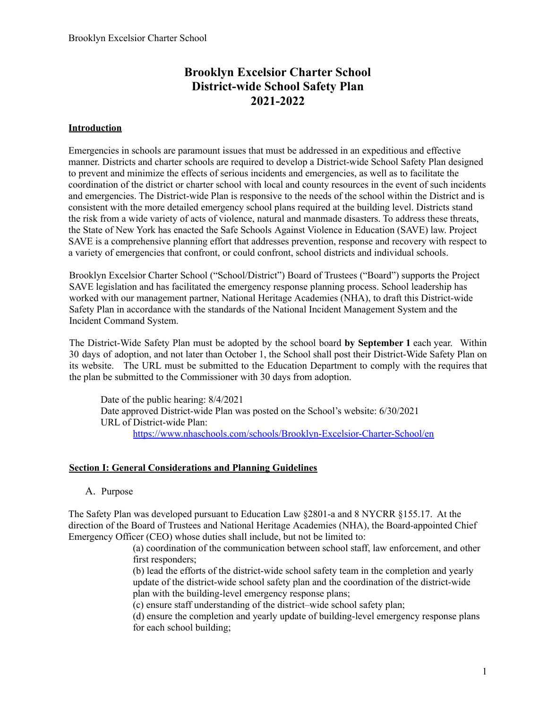## **Brooklyn Excelsior Charter School District-wide School Safety Plan 2021-2022**

## **Introduction**

Emergencies in schools are paramount issues that must be addressed in an expeditious and effective manner. Districts and charter schools are required to develop a District-wide School Safety Plan designed to prevent and minimize the effects of serious incidents and emergencies, as well as to facilitate the coordination of the district or charter school with local and county resources in the event of such incidents and emergencies. The District-wide Plan is responsive to the needs of the school within the District and is consistent with the more detailed emergency school plans required at the building level. Districts stand the risk from a wide variety of acts of violence, natural and manmade disasters. To address these threats, the State of New York has enacted the Safe Schools Against Violence in Education (SAVE) law. Project SAVE is a comprehensive planning effort that addresses prevention, response and recovery with respect to a variety of emergencies that confront, or could confront, school districts and individual schools.

Brooklyn Excelsior Charter School ("School/District") Board of Trustees ("Board") supports the Project SAVE legislation and has facilitated the emergency response planning process. School leadership has worked with our management partner, National Heritage Academies (NHA), to draft this District-wide Safety Plan in accordance with the standards of the National Incident Management System and the Incident Command System.

The District-Wide Safety Plan must be adopted by the school board **by September 1** each year. Within 30 days of adoption, and not later than October 1, the School shall post their District-Wide Safety Plan on its website. The URL must be submitted to the Education Department to comply with the requires that the plan be submitted to the Commissioner with 30 days from adoption.

Date of the public hearing: 8/4/2021 Date approved District-wide Plan was posted on the School's website: 6/30/2021 URL of District-wide Plan: https://www.nhaschools.com/schools/Brooklyn-Excelsior-Charter-School/en

## **Section I: General Considerations and Planning Guidelines**

A. Purpose

The Safety Plan was developed pursuant to Education Law §2801-a and 8 NYCRR §155.17. At the direction of the Board of Trustees and National Heritage Academies (NHA), the Board-appointed Chief Emergency Officer (CEO) whose duties shall include, but not be limited to:

> (a) coordination of the communication between school staff, law enforcement, and other first responders;

(b) lead the efforts of the district-wide school safety team in the completion and yearly update of the district-wide school safety plan and the coordination of the district-wide plan with the building-level emergency response plans;

(c) ensure staff understanding of the district–wide school safety plan;

(d) ensure the completion and yearly update of building-level emergency response plans for each school building;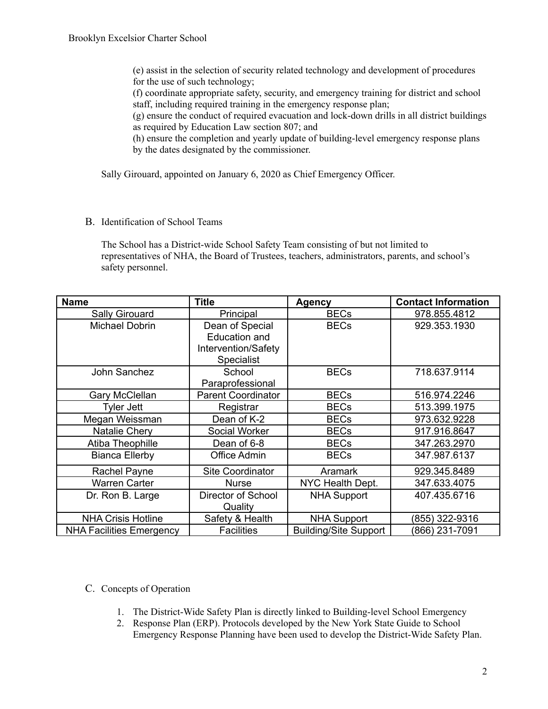(e) assist in the selection of security related technology and development of procedures for the use of such technology;

(f) coordinate appropriate safety, security, and emergency training for district and school staff, including required training in the emergency response plan;

(g) ensure the conduct of required evacuation and lock-down drills in all district buildings as required by Education Law section 807; and

(h) ensure the completion and yearly update of building-level emergency response plans by the dates designated by the commissioner.

Sally Girouard, appointed on January 6, 2020 as Chief Emergency Officer.

B. Identification of School Teams

The School has a District-wide School Safety Team consisting of but not limited to representatives of NHA, the Board of Trustees, teachers, administrators, parents, and school's safety personnel.

| <b>Name</b>                     | <b>Title</b>                                                                 | <b>Agency</b>                | <b>Contact Information</b> |
|---------------------------------|------------------------------------------------------------------------------|------------------------------|----------------------------|
| Sally Girouard                  | Principal                                                                    | <b>BECs</b>                  | 978.855.4812               |
| Michael Dobrin                  | Dean of Special<br>Education and<br>Intervention/Safety<br><b>Specialist</b> | <b>BECs</b>                  | 929.353.1930               |
| John Sanchez                    | School<br>Paraprofessional                                                   | <b>BECs</b>                  | 718.637.9114               |
| Gary McClellan                  | <b>Parent Coordinator</b>                                                    | <b>BECs</b>                  | 516.974.2246               |
| Tyler Jett                      | Registrar                                                                    | <b>BECs</b>                  | 513.399.1975               |
| Megan Weissman                  | Dean of K-2                                                                  | <b>BECs</b>                  | 973.632.9228               |
| <b>Natalie Chery</b>            | Social Worker                                                                | <b>BECs</b>                  | 917.916.8647               |
| Atiba Theophille                | Dean of 6-8                                                                  | <b>BECs</b>                  | 347.263.2970               |
| <b>Bianca Ellerby</b>           | Office Admin                                                                 | <b>BECs</b>                  | 347.987.6137               |
| Rachel Payne                    | Site Coordinator                                                             | Aramark                      | 929.345.8489               |
| <b>Warren Carter</b>            | Nurse                                                                        | NYC Health Dept.             | 347.633.4075               |
| Dr. Ron B. Large                | Director of School<br>Quality                                                | <b>NHA Support</b>           | 407.435.6716               |
| <b>NHA Crisis Hotline</b>       | Safety & Health                                                              | <b>NHA Support</b>           | (855) 322-9316             |
| <b>NHA Facilities Emergency</b> | <b>Facilities</b>                                                            | <b>Building/Site Support</b> | (866) 231-7091             |

## C. Concepts of Operation

- 1. The District-Wide Safety Plan is directly linked to Building-level School Emergency
- 2. Response Plan (ERP). Protocols developed by the New York State Guide to School Emergency Response Planning have been used to develop the District-Wide Safety Plan.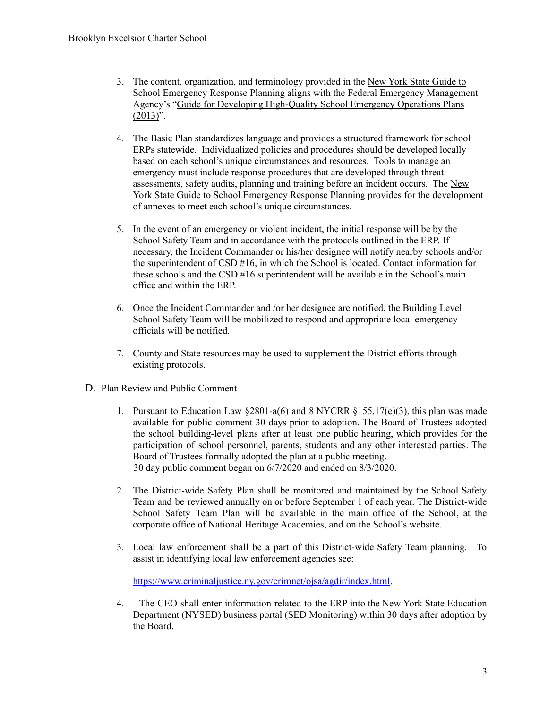- 3. The content, organization, and terminology provided in the New York State Guide to School Emergency Response Planning aligns with the Federal Emergency Management Agency's "Guide for Developing High-Quality School Emergency Operations Plans  $(2013)$ ".
- 4. The Basic Plan standardizes language and provides a structured framework for school ERPs statewide. Individualized policies and procedures should be developed locally based on each school's unique circumstances and resources. Tools to manage an emergency must include response procedures that are developed through threat assessments, safety audits, planning and training before an incident occurs. The New York State Guide to School Emergency Response Planning provides for the development of annexes to meet each school's unique circumstances.
- 5. In the event of an emergency or violent incident, the initial response will be by the School Safety Team and in accordance with the protocols outlined in the ERP. If necessary, the Incident Commander or his/her designee will notify nearby schools and/or the superintendent of CSD #16, in which the School is located. Contact information for these schools and the CSD #16 superintendent will be available in the School's main office and within the ERP.
- 6. Once the Incident Commander and /or her designee are notified, the Building Level School Safety Team will be mobilized to respond and appropriate local emergency officials will be notified.
- 7. County and State resources may be used to supplement the District efforts through existing protocols.
- D. Plan Review and Public Comment
	- 1. Pursuant to Education Law  $$2801-a(6)$  and  $8$  NYCRR  $$155.17(e)(3)$ , this plan was made available for public comment 30 days prior to adoption. The Board of Trustees adopted the school building-level plans after at least one public hearing, which provides for the participation of school personnel, parents, students and any other interested parties. The Board of Trustees formally adopted the plan at a public meeting. 30 day public comment began on 6/7/2020 and ended on 8/3/2020.
	- 2. The District-wide Safety Plan shall be monitored and maintained by the School Safety Team and be reviewed annually on or before September 1 of each year. The District-wide School Safety Team Plan will be available in the main office of the School, at the corporate office of National Heritage Academies, and on the School's website.
	- 3. Local law enforcement shall be a part of this District-wide Safety Team planning. To assist in identifying local law enforcement agencies see:

https://www.criminaljustice.ny.gov/crimnet/ojsa/agdir/index.html.

4. The CEO shall enter information related to the ERP into the New York State Education Department (NYSED) business portal (SED Monitoring) within 30 days after adoption by the Board.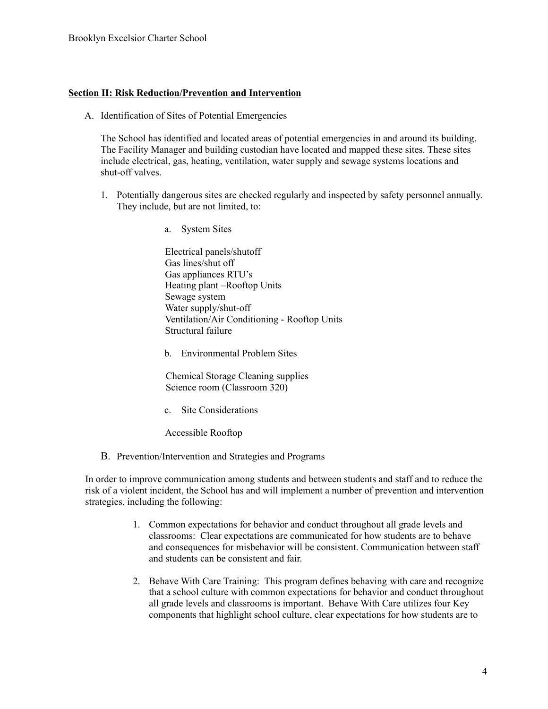#### **Section II: Risk Reduction/Prevention and Intervention**

A. Identification of Sites of Potential Emergencies

The School has identified and located areas of potential emergencies in and around its building. The Facility Manager and building custodian have located and mapped these sites. These sites include electrical, gas, heating, ventilation, water supply and sewage systems locations and shut-off valves.

- 1. Potentially dangerous sites are checked regularly and inspected by safety personnel annually. They include, but are not limited, to:
	- a. System Sites

Electrical panels/shutoff Gas lines/shut off Gas appliances RTU's Heating plant –Rooftop Units Sewage system Water supply/shut-off Ventilation/Air Conditioning - Rooftop Units Structural failure

b. Environmental Problem Sites

Chemical Storage Cleaning supplies Science room (Classroom 320)

c. Site Considerations

Accessible Rooftop

B. Prevention/Intervention and Strategies and Programs

In order to improve communication among students and between students and staff and to reduce the risk of a violent incident, the School has and will implement a number of prevention and intervention strategies, including the following:

- 1. Common expectations for behavior and conduct throughout all grade levels and classrooms: Clear expectations are communicated for how students are to behave and consequences for misbehavior will be consistent. Communication between staff and students can be consistent and fair.
- 2. Behave With Care Training: This program defines behaving with care and recognize that a school culture with common expectations for behavior and conduct throughout all grade levels and classrooms is important. Behave With Care utilizes four Key components that highlight school culture, clear expectations for how students are to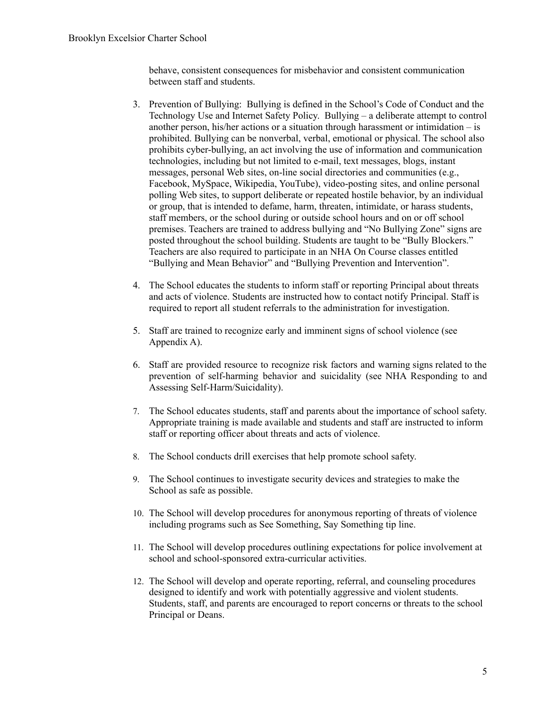behave, consistent consequences for misbehavior and consistent communication between staff and students.

- 3. Prevention of Bullying: Bullying is defined in the School's Code of Conduct and the Technology Use and Internet Safety Policy. Bullying – a deliberate attempt to control another person, his/her actions or a situation through harassment or intimidation – is prohibited. Bullying can be nonverbal, verbal, emotional or physical. The school also prohibits cyber-bullying, an act involving the use of information and communication technologies, including but not limited to e-mail, text messages, blogs, instant messages, personal Web sites, on-line social directories and communities (e.g., Facebook, MySpace, Wikipedia, YouTube), video-posting sites, and online personal polling Web sites, to support deliberate or repeated hostile behavior, by an individual or group, that is intended to defame, harm, threaten, intimidate, or harass students, staff members, or the school during or outside school hours and on or off school premises. Teachers are trained to address bullying and "No Bullying Zone" signs are posted throughout the school building. Students are taught to be "Bully Blockers." Teachers are also required to participate in an NHA On Course classes entitled "Bullying and Mean Behavior" and "Bullying Prevention and Intervention".
- 4. The School educates the students to inform staff or reporting Principal about threats and acts of violence. Students are instructed how to contact notify Principal. Staff is required to report all student referrals to the administration for investigation.
- 5. Staff are trained to recognize early and imminent signs of school violence (see Appendix A).
- 6. Staff are provided resource to recognize risk factors and warning signs related to the prevention of self-harming behavior and suicidality (see NHA Responding to and Assessing Self-Harm/Suicidality).
- 7. The School educates students, staff and parents about the importance of school safety. Appropriate training is made available and students and staff are instructed to inform staff or reporting officer about threats and acts of violence.
- 8. The School conducts drill exercises that help promote school safety.
- 9. The School continues to investigate security devices and strategies to make the School as safe as possible.
- 10. The School will develop procedures for anonymous reporting of threats of violence including programs such as See Something, Say Something tip line.
- 11. The School will develop procedures outlining expectations for police involvement at school and school-sponsored extra-curricular activities.
- 12. The School will develop and operate reporting, referral, and counseling procedures designed to identify and work with potentially aggressive and violent students. Students, staff, and parents are encouraged to report concerns or threats to the school Principal or Deans.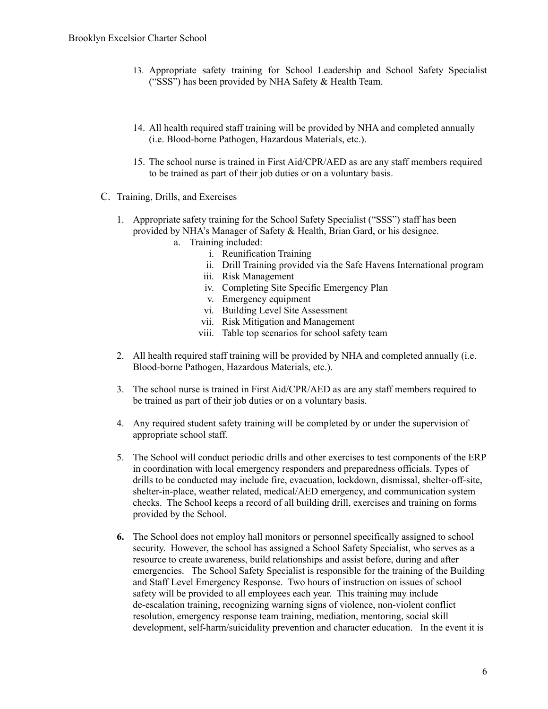- 13. Appropriate safety training for School Leadership and School Safety Specialist ("SSS") has been provided by NHA Safety & Health Team.
- 14. All health required staff training will be provided by NHA and completed annually (i.e. Blood-borne Pathogen, Hazardous Materials, etc.).
- 15. The school nurse is trained in First Aid/CPR/AED as are any staff members required to be trained as part of their job duties or on a voluntary basis.
- C. Training, Drills, and Exercises
	- 1. Appropriate safety training for the School Safety Specialist ("SSS") staff has been provided by NHA's Manager of Safety & Health, Brian Gard, or his designee.
		- a. Training included:
			- i. Reunification Training
			- ii. Drill Training provided via the Safe Havens International program
			- iii. Risk Management
			- iv. Completing Site Specific Emergency Plan
			- v. Emergency equipment
			- vi. Building Level Site Assessment
			- vii. Risk Mitigation and Management
			- viii. Table top scenarios for school safety team
	- 2. All health required staff training will be provided by NHA and completed annually (i.e. Blood-borne Pathogen, Hazardous Materials, etc.).
	- 3. The school nurse is trained in First Aid/CPR/AED as are any staff members required to be trained as part of their job duties or on a voluntary basis.
	- 4. Any required student safety training will be completed by or under the supervision of appropriate school staff.
	- 5. The School will conduct periodic drills and other exercises to test components of the ERP in coordination with local emergency responders and preparedness officials. Types of drills to be conducted may include fire, evacuation, lockdown, dismissal, shelter-off-site, shelter-in-place, weather related, medical/AED emergency, and communication system checks. The School keeps a record of all building drill, exercises and training on forms provided by the School.
	- **6.** The School does not employ hall monitors or personnel specifically assigned to school security. However, the school has assigned a School Safety Specialist, who serves as a resource to create awareness, build relationships and assist before, during and after emergencies. The School Safety Specialist is responsible for the training of the Building and Staff Level Emergency Response. Two hours of instruction on issues of school safety will be provided to all employees each year. This training may include de-escalation training, recognizing warning signs of violence, non-violent conflict resolution, emergency response team training, mediation, mentoring, social skill development, self-harm/suicidality prevention and character education. In the event it is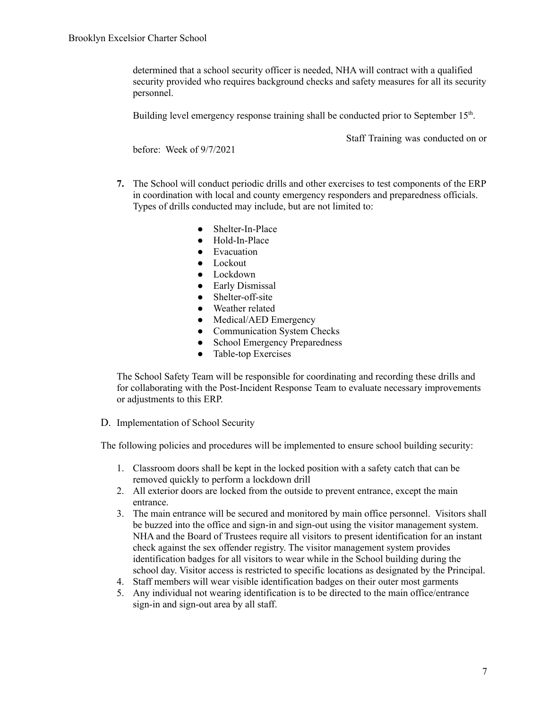determined that a school security officer is needed, NHA will contract with a qualified security provided who requires background checks and safety measures for all its security personnel.

Building level emergency response training shall be conducted prior to September 15<sup>th</sup>.

before: Week of 9/7/2021

Staff Training was conducted on or

- **7.** The School will conduct periodic drills and other exercises to test components of the ERP in coordination with local and county emergency responders and preparedness officials. Types of drills conducted may include, but are not limited to:
	- Shelter-In-Place
	- Hold-In-Place
	- Evacuation
	- Lockout
	- Lockdown
	- Early Dismissal
	- Shelter-off-site
	- Weather related
	- Medical/AED Emergency
	- Communication System Checks
	- School Emergency Preparedness
	- Table-top Exercises

The School Safety Team will be responsible for coordinating and recording these drills and for collaborating with the Post-Incident Response Team to evaluate necessary improvements or adjustments to this ERP.

D. Implementation of School Security

The following policies and procedures will be implemented to ensure school building security:

- 1. Classroom doors shall be kept in the locked position with a safety catch that can be removed quickly to perform a lockdown drill
- 2. All exterior doors are locked from the outside to prevent entrance, except the main entrance.
- 3. The main entrance will be secured and monitored by main office personnel. Visitors shall be buzzed into the office and sign-in and sign-out using the visitor management system. NHA and the Board of Trustees require all visitors to present identification for an instant check against the sex offender registry. The visitor management system provides identification badges for all visitors to wear while in the School building during the school day. Visitor access is restricted to specific locations as designated by the Principal.
- 4. Staff members will wear visible identification badges on their outer most garments
- 5. Any individual not wearing identification is to be directed to the main office/entrance sign-in and sign-out area by all staff.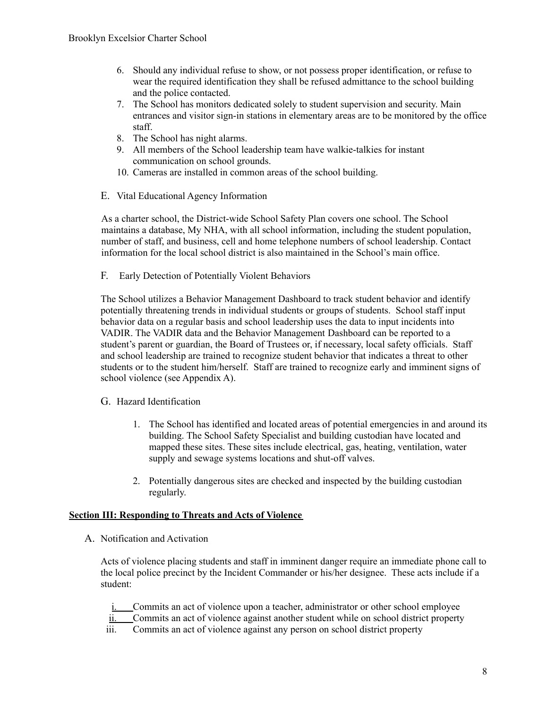- 6. Should any individual refuse to show, or not possess proper identification, or refuse to wear the required identification they shall be refused admittance to the school building and the police contacted.
- 7. The School has monitors dedicated solely to student supervision and security. Main entrances and visitor sign-in stations in elementary areas are to be monitored by the office staff.
- 8. The School has night alarms.
- 9. All members of the School leadership team have walkie-talkies for instant communication on school grounds.
- 10. Cameras are installed in common areas of the school building.
- E. Vital Educational Agency Information

As a charter school, the District-wide School Safety Plan covers one school. The School maintains a database, My NHA, with all school information, including the student population, number of staff, and business, cell and home telephone numbers of school leadership. Contact information for the local school district is also maintained in the School's main office.

F. Early Detection of Potentially Violent Behaviors

The School utilizes a Behavior Management Dashboard to track student behavior and identify potentially threatening trends in individual students or groups of students. School staff input behavior data on a regular basis and school leadership uses the data to input incidents into VADIR. The VADIR data and the Behavior Management Dashboard can be reported to a student's parent or guardian, the Board of Trustees or, if necessary, local safety officials. Staff and school leadership are trained to recognize student behavior that indicates a threat to other students or to the student him/herself. Staff are trained to recognize early and imminent signs of school violence (see Appendix A).

#### G. Hazard Identification

- 1. The School has identified and located areas of potential emergencies in and around its building. The School Safety Specialist and building custodian have located and mapped these sites. These sites include electrical, gas, heating, ventilation, water supply and sewage systems locations and shut-off valves.
- 2. Potentially dangerous sites are checked and inspected by the building custodian regularly.

#### **Section III: Responding to Threats and Acts of Violence**

A. Notification and Activation

Acts of violence placing students and staff in imminent danger require an immediate phone call to the local police precinct by the Incident Commander or his/her designee. These acts include if a student:

- i. Commits an act of violence upon a teacher, administrator or other school employee
- ii. Commits an act of violence against another student while on school district property
- iii. Commits an act of violence against any person on school district property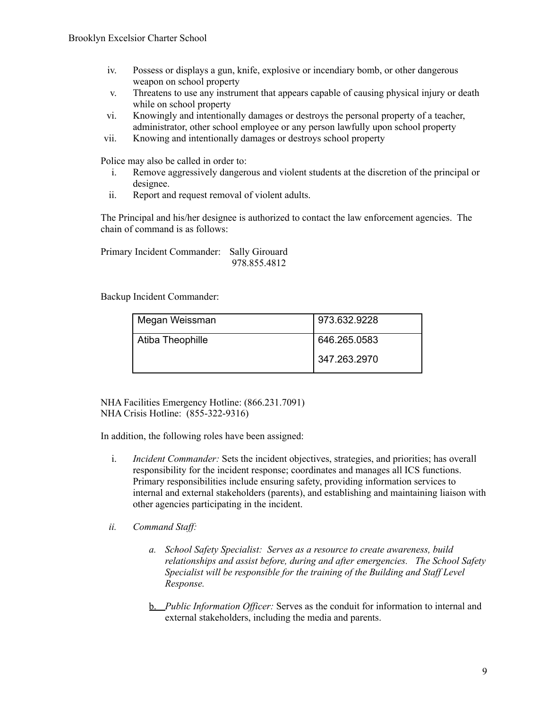- iv. Possess or displays a gun, knife, explosive or incendiary bomb, or other dangerous weapon on school property
- v. Threatens to use any instrument that appears capable of causing physical injury or death while on school property
- vi. Knowingly and intentionally damages or destroys the personal property of a teacher, administrator, other school employee or any person lawfully upon school property
- vii. Knowing and intentionally damages or destroys school property

Police may also be called in order to:

- i. Remove aggressively dangerous and violent students at the discretion of the principal or designee.
- ii. Report and request removal of violent adults.

The Principal and his/her designee is authorized to contact the law enforcement agencies. The chain of command is as follows:

Primary Incident Commander: Sally Girouard 978.855.4812

Backup Incident Commander:

| Megan Weissman   | 973.632.9228   |
|------------------|----------------|
| Atiba Theophille | 646.265.0583   |
|                  | l 347.263.2970 |

NHA Facilities Emergency Hotline: (866.231.7091) NHA Crisis Hotline: (855-322-9316)

In addition, the following roles have been assigned:

- i. *Incident Commander:* Sets the incident objectives, strategies, and priorities; has overall responsibility for the incident response; coordinates and manages all ICS functions. Primary responsibilities include ensuring safety, providing information services to internal and external stakeholders (parents), and establishing and maintaining liaison with other agencies participating in the incident.
- *ii. Command Staff:* 
	- *a. School Safety Specialist: Serves as a resource to create awareness, build relationships and assist before, during and after emergencies. The School Safety Specialist will be responsible for the training of the Building and Staf Level Response.*
	- b. *Public Information Of icer:* Serves as the conduit for information to internal and external stakeholders, including the media and parents.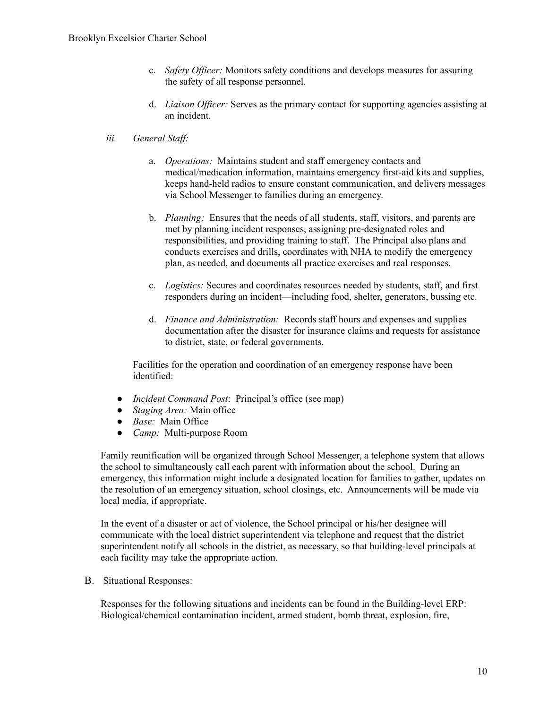- c. *Safety Of icer:* Monitors safety conditions and develops measures for assuring the safety of all response personnel.
- d. *Liaison Of icer:* Serves as the primary contact for supporting agencies assisting at an incident.

#### *iii. General Staff:*

- a. *Operations:* Maintains student and staff emergency contacts and medical/medication information, maintains emergency first-aid kits and supplies, keeps hand-held radios to ensure constant communication, and delivers messages via School Messenger to families during an emergency.
- b. *Planning:* Ensures that the needs of all students, staff, visitors, and parents are met by planning incident responses, assigning pre-designated roles and responsibilities, and providing training to staff. The Principal also plans and conducts exercises and drills, coordinates with NHA to modify the emergency plan, as needed, and documents all practice exercises and real responses.
- c. *Logistics:* Secures and coordinates resources needed by students, staff, and first responders during an incident—including food, shelter, generators, bussing etc.
- d. *Finance and Administration:* Records staff hours and expenses and supplies documentation after the disaster for insurance claims and requests for assistance to district, state, or federal governments.

Facilities for the operation and coordination of an emergency response have been identified:

- *Incident Command Post*: Principal's office (see map)
- *Staging Area:* Main office
- *Base:* Main Office
- *Camp:* Multi-purpose Room

Family reunification will be organized through School Messenger, a telephone system that allows the school to simultaneously call each parent with information about the school. During an emergency, this information might include a designated location for families to gather, updates on the resolution of an emergency situation, school closings, etc. Announcements will be made via local media, if appropriate.

In the event of a disaster or act of violence, the School principal or his/her designee will communicate with the local district superintendent via telephone and request that the district superintendent notify all schools in the district, as necessary, so that building-level principals at each facility may take the appropriate action.

B. Situational Responses:

Responses for the following situations and incidents can be found in the Building-level ERP: Biological/chemical contamination incident, armed student, bomb threat, explosion, fire,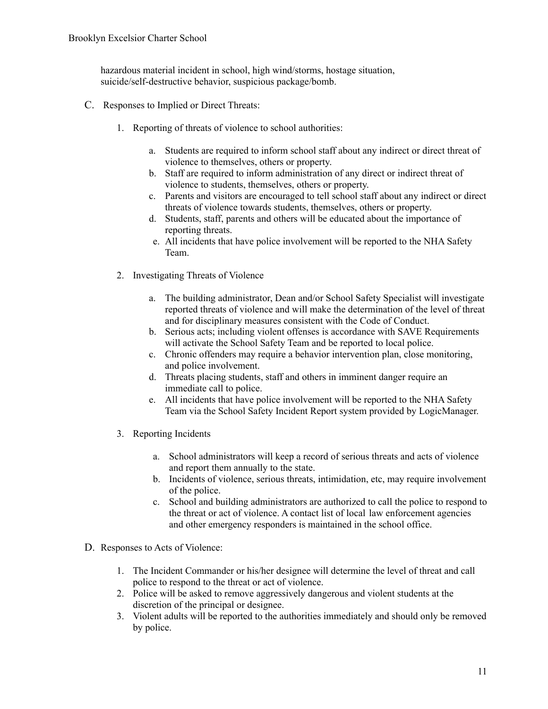hazardous material incident in school, high wind/storms, hostage situation, suicide/self-destructive behavior, suspicious package/bomb.

- C. Responses to Implied or Direct Threats:
	- 1. Reporting of threats of violence to school authorities:
		- a. Students are required to inform school staff about any indirect or direct threat of violence to themselves, others or property.
		- b. Staff are required to inform administration of any direct or indirect threat of violence to students, themselves, others or property.
		- c. Parents and visitors are encouraged to tell school staff about any indirect or direct threats of violence towards students, themselves, others or property.
		- d. Students, staff, parents and others will be educated about the importance of reporting threats.
		- e. All incidents that have police involvement will be reported to the NHA Safety Team.
	- 2. Investigating Threats of Violence
		- a. The building administrator, Dean and/or School Safety Specialist will investigate reported threats of violence and will make the determination of the level of threat and for disciplinary measures consistent with the Code of Conduct.
		- b. Serious acts; including violent offenses is accordance with SAVE Requirements will activate the School Safety Team and be reported to local police.
		- c. Chronic offenders may require a behavior intervention plan, close monitoring, and police involvement.
		- d. Threats placing students, staff and others in imminent danger require an immediate call to police.
		- e. All incidents that have police involvement will be reported to the NHA Safety Team via the School Safety Incident Report system provided by LogicManager.
	- 3. Reporting Incidents
		- a. School administrators will keep a record of serious threats and acts of violence and report them annually to the state.
		- b. Incidents of violence, serious threats, intimidation, etc, may require involvement of the police.
		- c. School and building administrators are authorized to call the police to respond to the threat or act of violence. A contact list of local law enforcement agencies and other emergency responders is maintained in the school office.
- D. Responses to Acts of Violence:
	- 1. The Incident Commander or his/her designee will determine the level of threat and call police to respond to the threat or act of violence.
	- 2. Police will be asked to remove aggressively dangerous and violent students at the discretion of the principal or designee.
	- 3. Violent adults will be reported to the authorities immediately and should only be removed by police.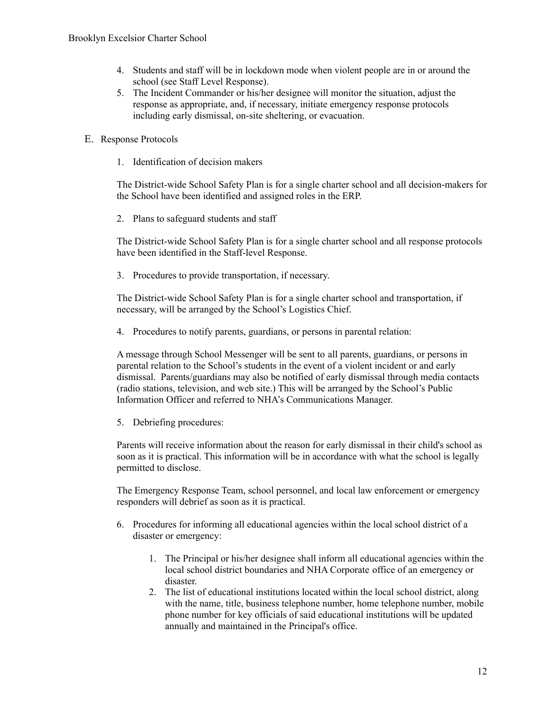- 4. Students and staff will be in lockdown mode when violent people are in or around the school (see Staff Level Response).
- 5. The Incident Commander or his/her designee will monitor the situation, adjust the response as appropriate, and, if necessary, initiate emergency response protocols including early dismissal, on-site sheltering, or evacuation.
- E. Response Protocols
	- 1. Identification of decision makers

The District-wide School Safety Plan is for a single charter school and all decision-makers for the School have been identified and assigned roles in the ERP.

2. Plans to safeguard students and staff

The District-wide School Safety Plan is for a single charter school and all response protocols have been identified in the Staff-level Response.

3. Procedures to provide transportation, if necessary.

The District-wide School Safety Plan is for a single charter school and transportation, if necessary, will be arranged by the School's Logistics Chief.

4. Procedures to notify parents, guardians, or persons in parental relation:

A message through School Messenger will be sent to all parents, guardians, or persons in parental relation to the School's students in the event of a violent incident or and early dismissal. Parents/guardians may also be notified of early dismissal through media contacts (radio stations, television, and web site.) This will be arranged by the School's Public Information Officer and referred to NHA's Communications Manager.

5. Debriefing procedures:

Parents will receive information about the reason for early dismissal in their child's school as soon as it is practical. This information will be in accordance with what the school is legally permitted to disclose.

The Emergency Response Team, school personnel, and local law enforcement or emergency responders will debrief as soon as it is practical.

- 6. Procedures for informing all educational agencies within the local school district of a disaster or emergency:
	- 1. The Principal or his/her designee shall inform all educational agencies within the local school district boundaries and NHA Corporate office of an emergency or disaster.
	- 2. The list of educational institutions located within the local school district, along with the name, title, business telephone number, home telephone number, mobile phone number for key officials of said educational institutions will be updated annually and maintained in the Principal's office.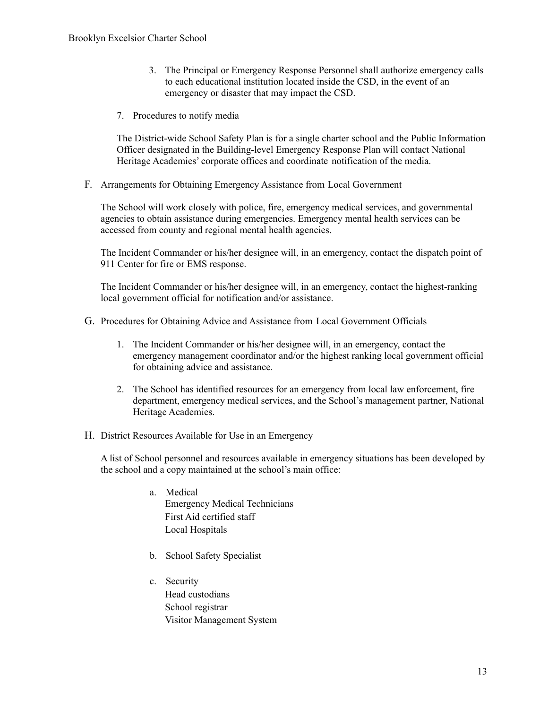- 3. The Principal or Emergency Response Personnel shall authorize emergency calls to each educational institution located inside the CSD, in the event of an emergency or disaster that may impact the CSD.
- 7. Procedures to notify media

The District-wide School Safety Plan is for a single charter school and the Public Information Officer designated in the Building-level Emergency Response Plan will contact National Heritage Academies' corporate offices and coordinate notification of the media.

F. Arrangements for Obtaining Emergency Assistance from Local Government

The School will work closely with police, fire, emergency medical services, and governmental agencies to obtain assistance during emergencies. Emergency mental health services can be accessed from county and regional mental health agencies.

The Incident Commander or his/her designee will, in an emergency, contact the dispatch point of 911 Center for fire or EMS response.

The Incident Commander or his/her designee will, in an emergency, contact the highest-ranking local government official for notification and/or assistance.

- G. Procedures for Obtaining Advice and Assistance from Local Government Officials
	- 1. The Incident Commander or his/her designee will, in an emergency, contact the emergency management coordinator and/or the highest ranking local government official for obtaining advice and assistance.
	- 2. The School has identified resources for an emergency from local law enforcement, fire department, emergency medical services, and the School's management partner, National Heritage Academies.
- H. District Resources Available for Use in an Emergency

A list of School personnel and resources available in emergency situations has been developed by the school and a copy maintained at the school's main office:

- a. Medical Emergency Medical Technicians First Aid certified staff Local Hospitals
- b. School Safety Specialist
- c. Security Head custodians School registrar Visitor Management System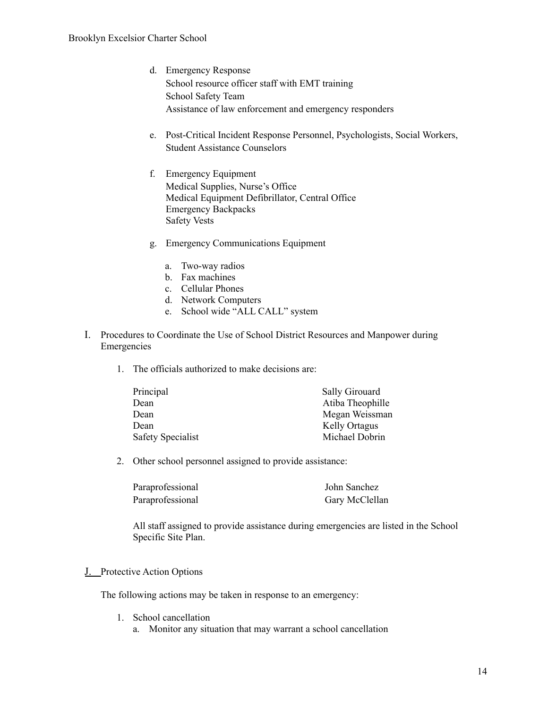- d. Emergency Response School resource officer staff with EMT training School Safety Team Assistance of law enforcement and emergency responders
- e. Post-Critical Incident Response Personnel, Psychologists, Social Workers, Student Assistance Counselors
- f. Emergency Equipment Medical Supplies, Nurse's Office Medical Equipment Defibrillator, Central Office Emergency Backpacks Safety Vests
- g. Emergency Communications Equipment
	- a. Two-way radios
	- b. Fax machines
	- c. Cellular Phones
	- d. Network Computers
	- e. School wide "ALL CALL" system
- I. Procedures to Coordinate the Use of School District Resources and Manpower during Emergencies
	- 1. The officials authorized to make decisions are:

| Sally Girouard       |
|----------------------|
| Atiba Theophille     |
| Megan Weissman       |
| <b>Kelly Ortagus</b> |
| Michael Dobrin       |
|                      |

2. Other school personnel assigned to provide assistance:

| Paraprofessional | John Sanchez   |
|------------------|----------------|
| Paraprofessional | Gary McClellan |

All staff assigned to provide assistance during emergencies are listed in the School Specific Site Plan.

J. Protective Action Options

The following actions may be taken in response to an emergency:

- 1. School cancellation
	- a. Monitor any situation that may warrant a school cancellation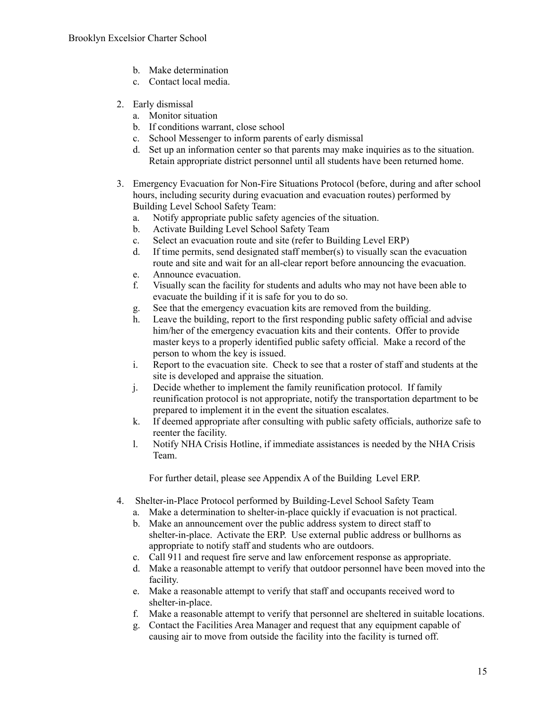- b. Make determination
- c. Contact local media.
- 2. Early dismissal
	- a. Monitor situation
	- b. If conditions warrant, close school
	- c. School Messenger to inform parents of early dismissal
	- d. Set up an information center so that parents may make inquiries as to the situation. Retain appropriate district personnel until all students have been returned home.
- 3. Emergency Evacuation for Non-Fire Situations Protocol (before, during and after school hours, including security during evacuation and evacuation routes) performed by Building Level School Safety Team:
	- a. Notify appropriate public safety agencies of the situation.
	- b. Activate Building Level School Safety Team
	- c. Select an evacuation route and site (refer to Building Level ERP)
	- d. If time permits, send designated staff member(s) to visually scan the evacuation route and site and wait for an all-clear report before announcing the evacuation.
	- e. Announce evacuation.
	- f. Visually scan the facility for students and adults who may not have been able to evacuate the building if it is safe for you to do so.
	- g. See that the emergency evacuation kits are removed from the building.
	- h. Leave the building, report to the first responding public safety official and advise him/her of the emergency evacuation kits and their contents. Offer to provide master keys to a properly identified public safety official. Make a record of the person to whom the key is issued.
	- i. Report to the evacuation site. Check to see that a roster of staff and students at the site is developed and appraise the situation.
	- j. Decide whether to implement the family reunification protocol. If family reunification protocol is not appropriate, notify the transportation department to be prepared to implement it in the event the situation escalates.
	- k. If deemed appropriate after consulting with public safety officials, authorize safe to reenter the facility.
	- l. Notify NHA Crisis Hotline, if immediate assistances is needed by the NHA Crisis Team.

For further detail, please see Appendix A of the Building Level ERP.

- 4. Shelter-in-Place Protocol performed by Building-Level School Safety Team
	- a. Make a determination to shelter-in-place quickly if evacuation is not practical.
	- b. Make an announcement over the public address system to direct staff to shelter-in-place. Activate the ERP. Use external public address or bullhorns as appropriate to notify staff and students who are outdoors.
	- c. Call 911 and request fire serve and law enforcement response as appropriate.
	- d. Make a reasonable attempt to verify that outdoor personnel have been moved into the facility.
	- e. Make a reasonable attempt to verify that staff and occupants received word to shelter-in-place.
	- f. Make a reasonable attempt to verify that personnel are sheltered in suitable locations.
	- g. Contact the Facilities Area Manager and request that any equipment capable of causing air to move from outside the facility into the facility is turned off.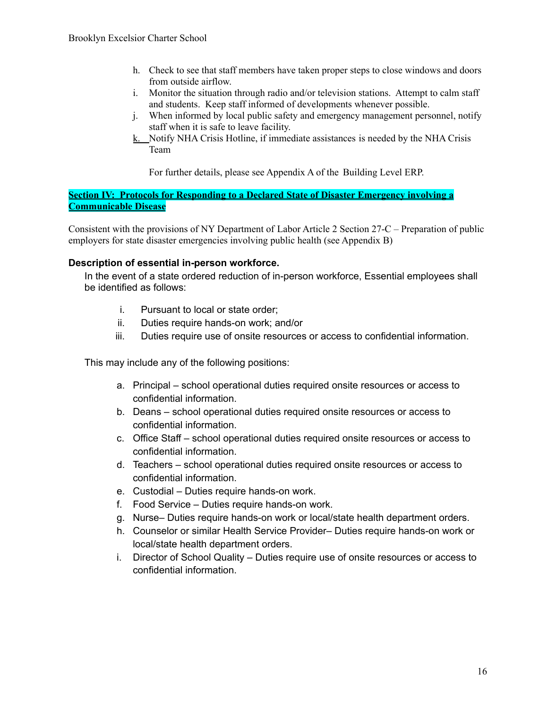- h. Check to see that staff members have taken proper steps to close windows and doors from outside airflow.
- i. Monitor the situation through radio and/or television stations. Attempt to calm staff and students. Keep staff informed of developments whenever possible.
- j. When informed by local public safety and emergency management personnel, notify staff when it is safe to leave facility.
- k. Notify NHA Crisis Hotline, if immediate assistances is needed by the NHA Crisis Team

For further details, please see Appendix A of the Building Level ERP.

**Section IV: Protocols for Responding to a Declared State of Disaster Emergency involving a Communicable Disease**

Consistent with the provisions of NY Department of Labor Article 2 Section 27-C – Preparation of public employers for state disaster emergencies involving public health (see Appendix B)

## **Description of essential in-person workforce.**

In the event of a state ordered reduction of in-person workforce, Essential employees shall be identified as follows:

- i. Pursuant to local or state order;
- ii. Duties require hands-on work; and/or
- iii. Duties require use of onsite resources or access to confidential information.

This may include any of the following positions:

- a. Principal school operational duties required onsite resources or access to confidential information.
- b. Deans school operational duties required onsite resources or access to confidential information.
- c. Office Staff school operational duties required onsite resources or access to confidential information.
- d. Teachers school operational duties required onsite resources or access to confidential information.
- e. Custodial Duties require hands-on work.
- f. Food Service Duties require hands-on work.
- g. Nurse– Duties require hands-on work or local/state health department orders.
- h. Counselor or similar Health Service Provider– Duties require hands-on work or local/state health department orders.
- i. Director of School Quality Duties require use of onsite resources or access to confidential information.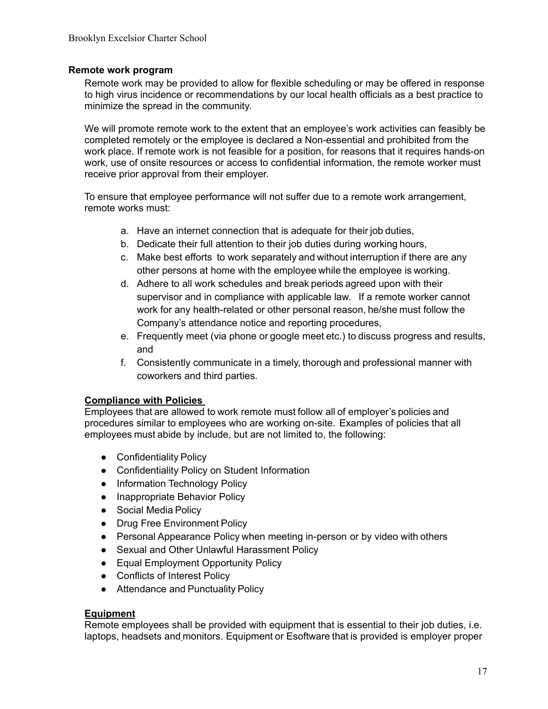## **Remote work program**

Remote work may be provided to allow for flexible scheduling or may be offered in response to high virus incidence or recommendations by our local health officials as a best practice to minimize the spread in the community.

We will promote remote work to the extent that an employee's work activities can feasibly be completed remotely or the employee is declared a Non-essential and prohibited from the work place. If remote work is not feasible for a position, for reasons that it requires hands-on work, use of onsite resources or access to confidential information, the remote worker must receive prior approval from their employer.

To ensure that employee performance will not suffer due to a remote work arrangement, remote works must:

- a. Have an internet connection that is adequate for their job duties,
- b. Dedicate their full attention to their job duties during working hours,
- c. Make best efforts to work separately and without interruption if there are any other persons at home with the employee while the employee is working.
- d. Adhere to all work schedules and break periods agreed upon with their supervisor and in compliance with applicable law. If a remote worker cannot work for any health-related or other personal reason, he/she must follow the Company's attendance notice and reporting procedures,
- e. Frequently meet (via phone or google meet etc.) to discuss progress and results, and
- f. Consistently communicate in a timely, thorough and professional manner with coworkers and third parties.

## **Compliance with Policies**

Employees that are allowed to work remote must follow all of employer's policies and procedures similar to employees who are working on-site. Examples of policies that all employees must abide by include, but are not limited to, the following:

- Confidentiality Policy
- Confidentiality Policy on Student Information
- Information Technology Policy
- Inappropriate Behavior Policy
- Social Media Policy
- Drug Free Environment Policy
- Personal Appearance Policy when meeting in-person or by video with others
- Sexual and Other Unlawful Harassment Policy
- Equal Employment Opportunity Policy
- Conflicts of Interest Policy
- Attendance and Punctuality Policy

#### **Equipment**

Remote employees shall be provided with equipment that is essential to their job duties, i.e. laptops, headsets and monitors. Equipment or Esoftware that is provided is employer proper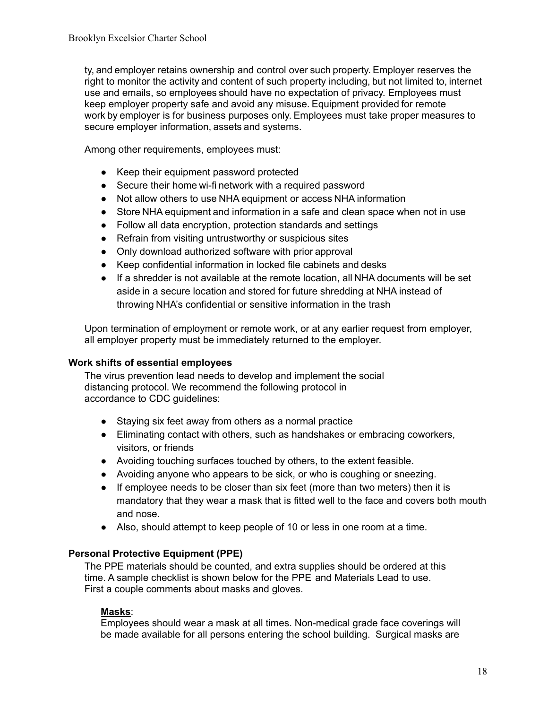ty, and employer retains ownership and control over such property. Employer reserves the right to monitor the activity and content of such property including, but not limited to, internet use and emails, so employees should have no expectation of privacy. Employees must keep employer property safe and avoid any misuse. Equipment provided for remote work by employer is for business purposes only. Employees must take proper measures to secure employer information, assets and systems.

Among other requirements, employees must:

- Keep their equipment password protected
- Secure their home wi-fi network with a required password
- Not allow others to use NHA equipment or access NHA information
- Store NHA equipment and information in a safe and clean space when not in use
- Follow all data encryption, protection standards and settings
- Refrain from visiting untrustworthy or suspicious sites
- Only download authorized software with prior approval
- Keep confidential information in locked file cabinets and desks
- If a shredder is not available at the remote location, all NHA documents will be set aside in a secure location and stored for future shredding at NHA instead of throwing NHA's confidential or sensitive information in the trash

Upon termination of employment or remote work, or at any earlier request from employer, all employer property must be immediately returned to the employer.

#### **Work shifts of essential employees**

The virus prevention lead needs to develop and implement the social distancing protocol. We recommend the following protocol in accordance to CDC guidelines:

- Staying six feet away from others as a normal practice
- Eliminating contact with others, such as handshakes or embracing coworkers, visitors, or friends
- Avoiding touching surfaces touched by others, to the extent feasible.
- Avoiding anyone who appears to be sick, or who is coughing or sneezing.
- If employee needs to be closer than six feet (more than two meters) then it is mandatory that they wear a mask that is fitted well to the face and covers both mouth and nose.
- Also, should attempt to keep people of 10 or less in one room at a time.

## **Personal Protective Equipment (PPE)**

The PPE materials should be counted, and extra supplies should be ordered at this time. A sample checklist is shown below for the PPE and Materials Lead to use. First a couple comments about masks and gloves.

#### **Masks**:

Employees should wear a mask at all times. Non-medical grade face coverings will be made available for all persons entering the school building. Surgical masks are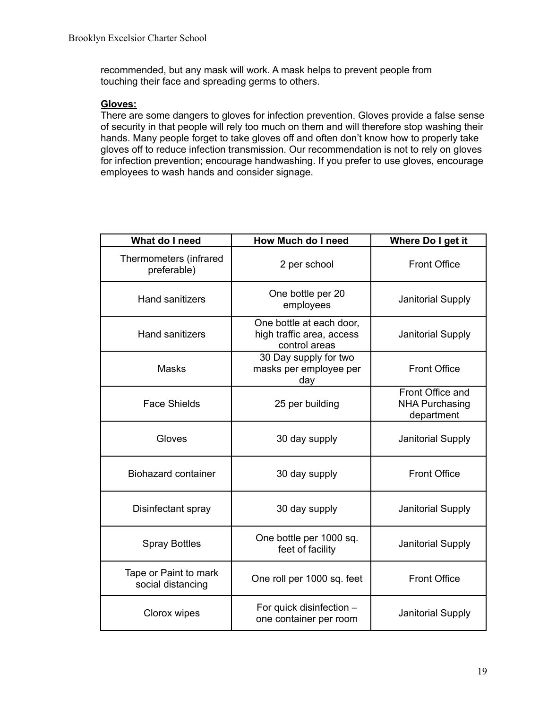recommended, but any mask will work. A mask helps to prevent people from touching their face and spreading germs to others.

#### **Gloves:**

There are some dangers to gloves for infection prevention. Gloves provide a false sense of security in that people will rely too much on them and will therefore stop washing their hands. Many people forget to take gloves off and often don't know how to properly take gloves off to reduce infection transmission. Our recommendation is not to rely on gloves for infection prevention; encourage handwashing. If you prefer to use gloves, encourage employees to wash hands and consider signage.

| What do I need                             | <b>How Much do I need</b>                                              | Where Do I get it                                       |
|--------------------------------------------|------------------------------------------------------------------------|---------------------------------------------------------|
| Thermometers (infrared<br>preferable)      | 2 per school                                                           | <b>Front Office</b>                                     |
| <b>Hand sanitizers</b>                     | One bottle per 20<br>employees                                         | <b>Janitorial Supply</b>                                |
| <b>Hand sanitizers</b>                     | One bottle at each door,<br>high traffic area, access<br>control areas | <b>Janitorial Supply</b>                                |
| <b>Masks</b>                               | 30 Day supply for two<br>masks per employee per<br>day                 | <b>Front Office</b>                                     |
| <b>Face Shields</b>                        | 25 per building                                                        | Front Office and<br><b>NHA Purchasing</b><br>department |
| Gloves                                     | 30 day supply                                                          | Janitorial Supply                                       |
| <b>Biohazard container</b>                 | 30 day supply                                                          | <b>Front Office</b>                                     |
| Disinfectant spray                         | 30 day supply                                                          | <b>Janitorial Supply</b>                                |
| <b>Spray Bottles</b>                       | One bottle per 1000 sq.<br>feet of facility                            | <b>Janitorial Supply</b>                                |
| Tape or Paint to mark<br>social distancing | One roll per 1000 sq. feet                                             | <b>Front Office</b>                                     |
| Clorox wipes                               | For quick disinfection -<br>one container per room                     | <b>Janitorial Supply</b>                                |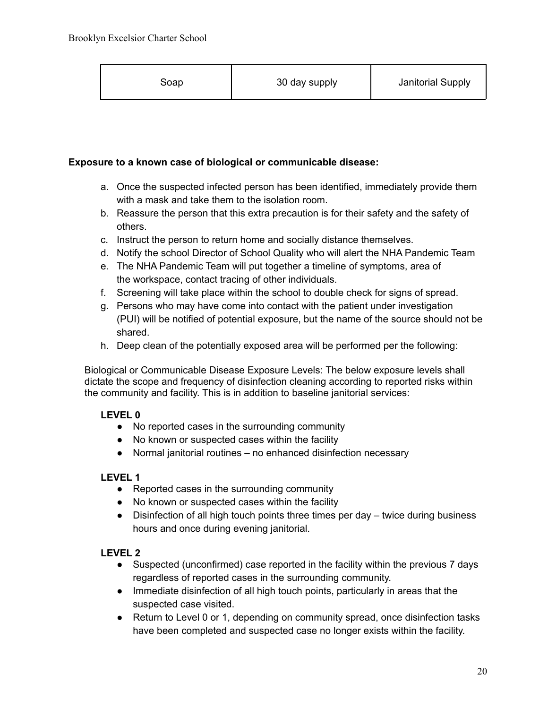|  | Soap | 30 day supply | Janitorial Supply |
|--|------|---------------|-------------------|
|--|------|---------------|-------------------|

## **Exposure to a known case of biological or communicable disease:**

- a. Once the suspected infected person has been identified, immediately provide them with a mask and take them to the isolation room.
- b. Reassure the person that this extra precaution is for their safety and the safety of others.
- c. Instruct the person to return home and socially distance themselves.
- d. Notify the school Director of School Quality who will alert the NHA Pandemic Team
- e. The NHA Pandemic Team will put together a timeline of symptoms, area of the workspace, contact tracing of other individuals.
- f. Screening will take place within the school to double check for signs of spread.
- g. Persons who may have come into contact with the patient under investigation (PUI) will be notified of potential exposure, but the name of the source should not be shared.
- h. Deep clean of the potentially exposed area will be performed per the following:

Biological or Communicable Disease Exposure Levels: The below exposure levels shall dictate the scope and frequency of disinfection cleaning according to reported risks within the community and facility. This is in addition to baseline janitorial services:

## **LEVEL 0**

- No reported cases in the surrounding community
- No known or suspected cases within the facility
- Normal janitorial routines no enhanced disinfection necessary

## **LEVEL 1**

- Reported cases in the surrounding community
- No known or suspected cases within the facility
- Disinfection of all high touch points three times per day twice during business hours and once during evening janitorial.

## **LEVEL 2**

- Suspected (unconfirmed) case reported in the facility within the previous 7 days regardless of reported cases in the surrounding community.
- Immediate disinfection of all high touch points, particularly in areas that the suspected case visited.
- Return to Level 0 or 1, depending on community spread, once disinfection tasks have been completed and suspected case no longer exists within the facility.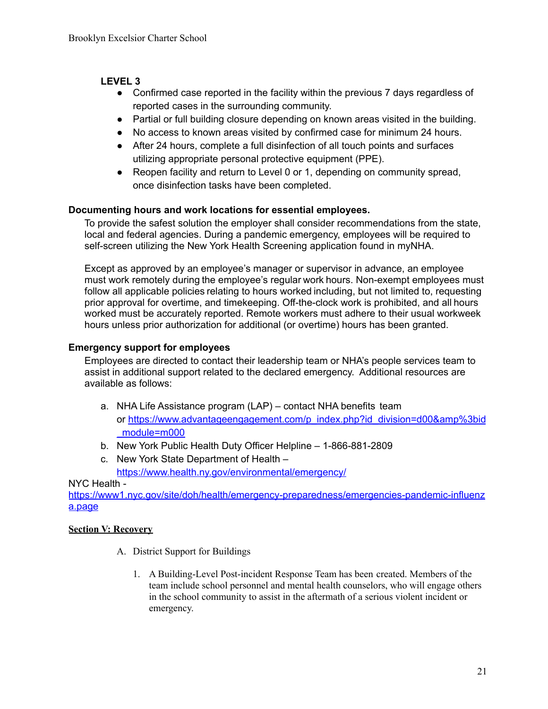## **LEVEL 3**

- Confirmed case reported in the facility within the previous 7 days regardless of reported cases in the surrounding community.
- Partial or full building closure depending on known areas visited in the building.
- No access to known areas visited by confirmed case for minimum 24 hours.
- After 24 hours, complete a full disinfection of all touch points and surfaces utilizing appropriate personal protective equipment (PPE).
- Reopen facility and return to Level 0 or 1, depending on community spread, once disinfection tasks have been completed.

## **Documenting hours and work locations for essential employees.**

To provide the safest solution the employer shall consider recommendations from the state, local and federal agencies. During a pandemic emergency, employees will be required to self-screen utilizing the New York Health Screening application found in myNHA.

Except as approved by an employee's manager or supervisor in advance, an employee must work remotely during the employee's regular work hours. Non-exempt employees must follow all applicable policies relating to hours worked including, but not limited to, requesting prior approval for overtime, and timekeeping. Off-the-clock work is prohibited, and all hours worked must be accurately reported. Remote workers must adhere to their usual workweek hours unless prior authorization for additional (or overtime) hours has been granted.

## **Emergency support for employees**

Employees are directed to contact their leadership team or NHA's people services team to assist in additional support related to the declared emergency. Additional resources are available as follows:

- a. NHA Life Assistance program (LAP) contact NHA benefits team or https://www.advantageengagement.com/p\_index.php?id\_division=d00&amp%3bid \_module=m000
- b. New York Public Health Duty Officer Helpline 1-866-881-2809
- c. New York State Department of Health https://www.health.ny.gov/environmental/emergency/

## NYC Health -

https://www1.nyc.gov/site/doh/health/emergency-preparedness/emergencies-pandemic-influenz a.page

## **Section V: Recovery**

- A. District Support for Buildings
	- 1. A Building-Level Post-incident Response Team has been created. Members of the team include school personnel and mental health counselors, who will engage others in the school community to assist in the aftermath of a serious violent incident or emergency.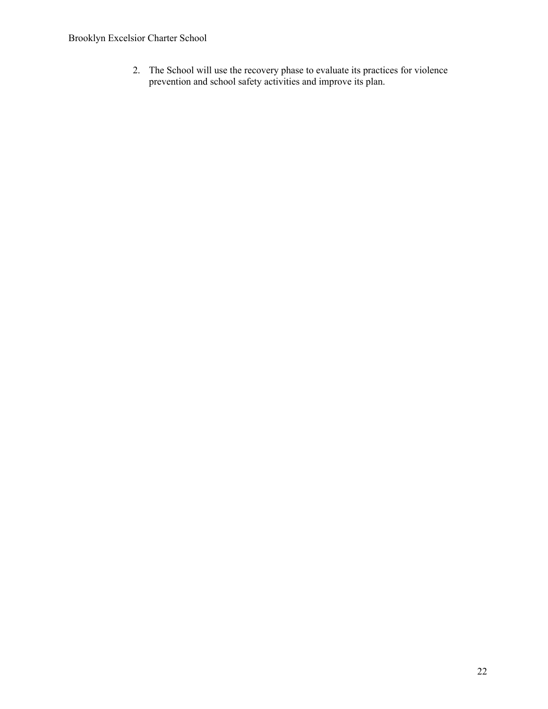2. The School will use the recovery phase to evaluate its practices for violence prevention and school safety activities and improve its plan.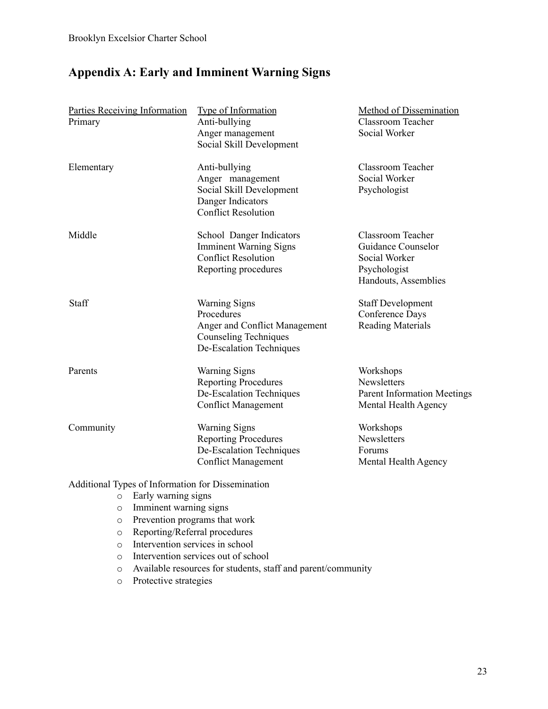# **Appendix A: Early and Imminent Warning Signs**

| Parties Receiving Information<br>Primary          | <b>Type of Information</b><br>Anti-bullying<br>Anger management<br>Social Skill Development                                     | <b>Method of Dissemination</b><br><b>Classroom Teacher</b><br>Social Worker                      |
|---------------------------------------------------|---------------------------------------------------------------------------------------------------------------------------------|--------------------------------------------------------------------------------------------------|
| Elementary                                        | Anti-bullying<br>Anger management<br>Social Skill Development<br>Danger Indicators<br><b>Conflict Resolution</b>                | <b>Classroom Teacher</b><br>Social Worker<br>Psychologist                                        |
| Middle                                            | School Danger Indicators<br><b>Imminent Warning Signs</b><br><b>Conflict Resolution</b><br>Reporting procedures                 | Classroom Teacher<br>Guidance Counselor<br>Social Worker<br>Psychologist<br>Handouts, Assemblies |
| Staff                                             | <b>Warning Signs</b><br>Procedures<br>Anger and Conflict Management<br><b>Counseling Techniques</b><br>De-Escalation Techniques | <b>Staff Development</b><br>Conference Days<br><b>Reading Materials</b>                          |
| Parents                                           | <b>Warning Signs</b><br><b>Reporting Procedures</b><br>De-Escalation Techniques<br><b>Conflict Management</b>                   | Workshops<br>Newsletters<br><b>Parent Information Meetings</b><br>Mental Health Agency           |
| Community                                         | <b>Warning Signs</b><br><b>Reporting Procedures</b><br>De-Escalation Techniques<br><b>Conflict Management</b>                   | Workshops<br><b>Newsletters</b><br>Forums<br>Mental Health Agency                                |
| Additional Types of Information for Dissemination |                                                                                                                                 |                                                                                                  |

 $\overline{\circ}$  Early warning signs

- o Imminent warning signs
- o Prevention programs that work
- o Reporting/Referral procedures
- o Intervention services in school
- o Intervention services out of school
- o Available resources for students, staff and parent/community
- o Protective strategies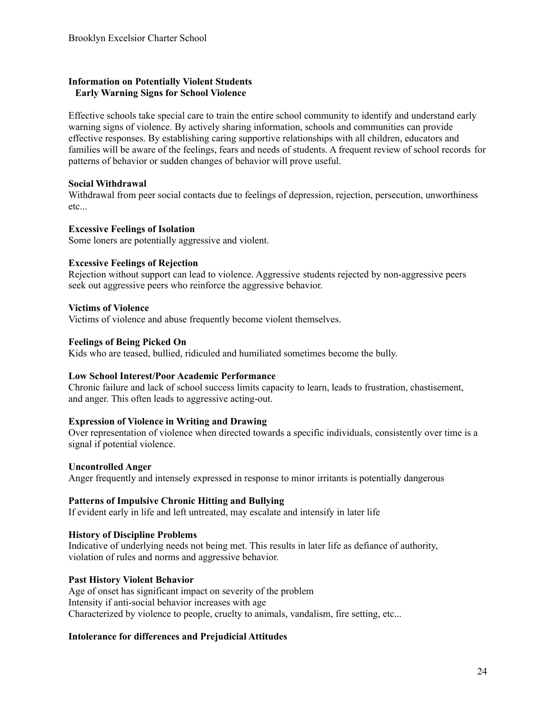#### **Information on Potentially Violent Students Early Warning Signs for School Violence**

Effective schools take special care to train the entire school community to identify and understand early warning signs of violence. By actively sharing information, schools and communities can provide effective responses. By establishing caring supportive relationships with all children, educators and families will be aware of the feelings, fears and needs of students. A frequent review of school records for patterns of behavior or sudden changes of behavior will prove useful.

#### **Social Withdrawal**

Withdrawal from peer social contacts due to feelings of depression, rejection, persecution, unworthiness etc...

#### **Excessive Feelings of Isolation**

Some loners are potentially aggressive and violent.

#### **Excessive Feelings of Rejection**

Rejection without support can lead to violence. Aggressive students rejected by non-aggressive peers seek out aggressive peers who reinforce the aggressive behavior.

#### **Victims of Violence**

Victims of violence and abuse frequently become violent themselves.

#### **Feelings of Being Picked On**

Kids who are teased, bullied, ridiculed and humiliated sometimes become the bully.

#### **Low School Interest/Poor Academic Performance**

Chronic failure and lack of school success limits capacity to learn, leads to frustration, chastisement, and anger. This often leads to aggressive acting-out.

#### **Expression of Violence in Writing and Drawing**

Over representation of violence when directed towards a specific individuals, consistently over time is a signal if potential violence.

#### **Uncontrolled Anger**

Anger frequently and intensely expressed in response to minor irritants is potentially dangerous

#### **Patterns of Impulsive Chronic Hitting and Bullying**

If evident early in life and left untreated, may escalate and intensify in later life

#### **History of Discipline Problems**

Indicative of underlying needs not being met. This results in later life as defiance of authority, violation of rules and norms and aggressive behavior.

#### **Past History Violent Behavior**

Age of onset has significant impact on severity of the problem Intensity if anti-social behavior increases with age Characterized by violence to people, cruelty to animals, vandalism, fire setting, etc...

## **Intolerance for differences and Prejudicial Attitudes**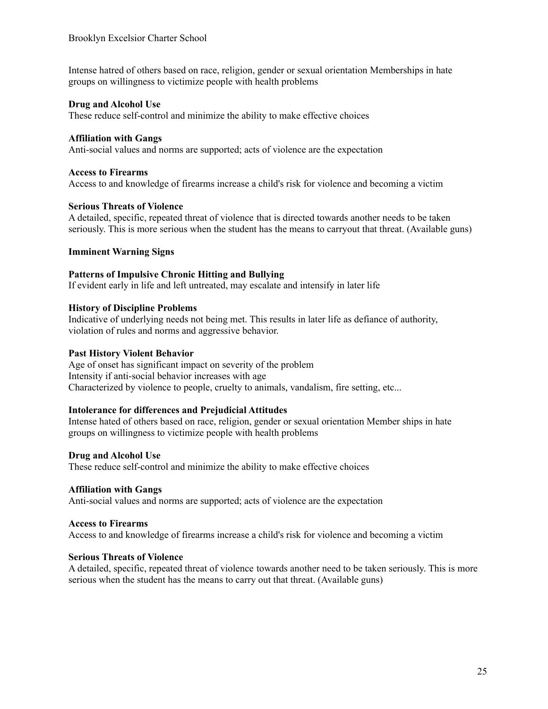Intense hatred of others based on race, religion, gender or sexual orientation Memberships in hate groups on willingness to victimize people with health problems

#### **Drug and Alcohol Use**

These reduce self-control and minimize the ability to make effective choices

#### **Affiliation with Gangs**

Anti-social values and norms are supported; acts of violence are the expectation

#### **Access to Firearms**

Access to and knowledge of firearms increase a child's risk for violence and becoming a victim

#### **Serious Threats of Violence**

A detailed, specific, repeated threat of violence that is directed towards another needs to be taken seriously. This is more serious when the student has the means to carryout that threat. (Available guns)

#### **Imminent Warning Signs**

#### **Patterns of Impulsive Chronic Hitting and Bullying**

If evident early in life and left untreated, may escalate and intensify in later life

#### **History of Discipline Problems**

Indicative of underlying needs not being met. This results in later life as defiance of authority, violation of rules and norms and aggressive behavior.

#### **Past History Violent Behavior**

Age of onset has significant impact on severity of the problem Intensity if anti-social behavior increases with age Characterized by violence to people, cruelty to animals, vandalism, fire setting, etc...

#### **Intolerance for differences and Prejudicial Attitudes**

Intense hated of others based on race, religion, gender or sexual orientation Member ships in hate groups on willingness to victimize people with health problems

#### **Drug and Alcohol Use**

These reduce self-control and minimize the ability to make effective choices

#### **Affiliation with Gangs**

Anti-social values and norms are supported; acts of violence are the expectation

#### **Access to Firearms**

Access to and knowledge of firearms increase a child's risk for violence and becoming a victim

#### **Serious Threats of Violence**

A detailed, specific, repeated threat of violence towards another need to be taken seriously. This is more serious when the student has the means to carry out that threat. (Available guns)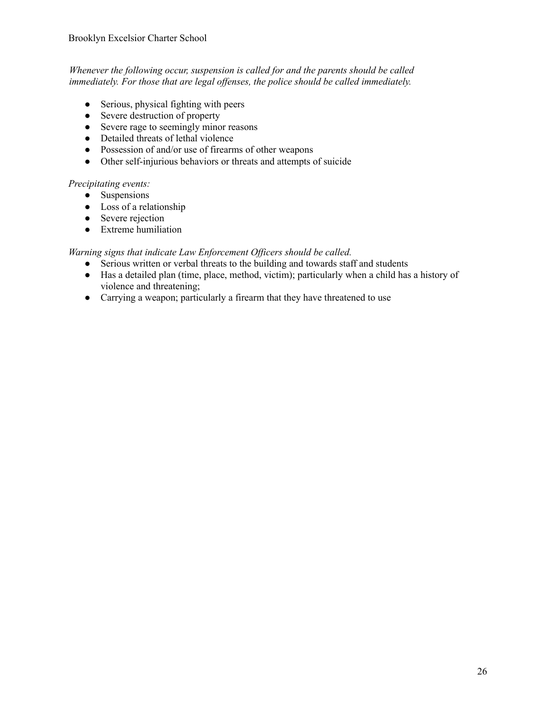*Whenever the following occur, suspension is called for and the parents should be called immediately. For those that are legal of enses, the police should be called immediately.*

- Serious, physical fighting with peers
- Severe destruction of property
- Severe rage to seemingly minor reasons
- Detailed threats of lethal violence
- Possession of and/or use of firearms of other weapons
- Other self-injurious behaviors or threats and attempts of suicide

#### *Precipitating events:*

- Suspensions
- Loss of a relationship
- Severe rejection
- Extreme humiliation

*Warning signs that indicate Law Enforcement Of icers should be called.*

- Serious written or verbal threats to the building and towards staff and students
- Has a detailed plan (time, place, method, victim); particularly when a child has a history of violence and threatening;
- Carrying a weapon; particularly a firearm that they have threatened to use